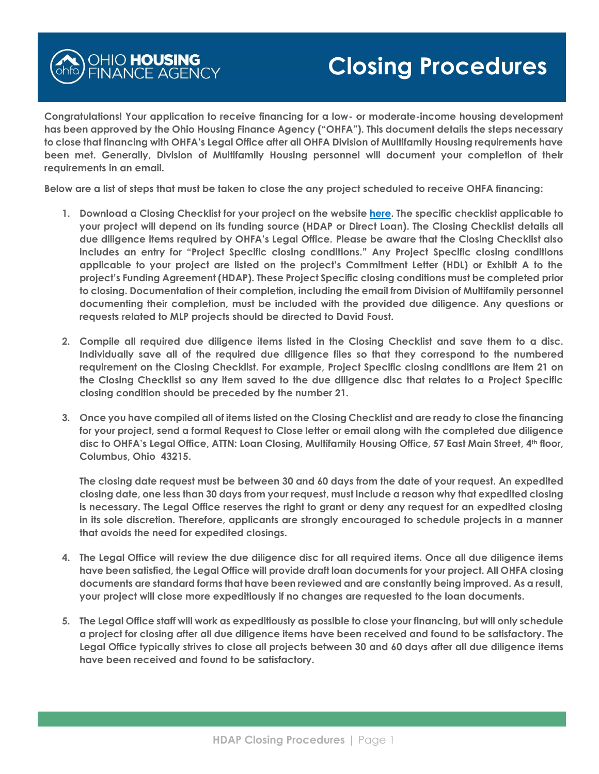

**Congratulations! Your application to receive financing for a low- or moderate-income housing development has been approved by the Ohio Housing Finance Agency ("OHFA"). This document details the steps necessary to close that financing with OHFA's Legal Office after all OHFA Division of Multifamily Housing requirements have been met. Generally, Division of Multifamily Housing personnel will document your completion of their requirements in an email.** 

**Below are a list of steps that must be taken to close the any project scheduled to receive OHFA financing:**

- **1. Download a Closing Checklist for your project on the website [here.](https://ohiohome.org/ppd/legal.aspx) The specific checklist applicable to your project will depend on its funding source (HDAP or Direct Loan). The Closing Checklist details all due diligence items required by OHFA's Legal Office. Please be aware that the Closing Checklist also includes an entry for "Project Specific closing conditions." Any Project Specific closing conditions applicable to your project are listed on the project's Commitment Letter (HDL) or Exhibit A to the project's Funding Agreement (HDAP). These Project Specific closing conditions must be completed prior to closing. Documentation of their completion, including the email from Division of Multifamily personnel documenting their completion, must be included with the provided due diligence. Any questions or requests related to MLP projects should be directed to David Foust.**
- **2. Compile all required due diligence items listed in the Closing Checklist and save them to a disc. Individually save all of the required due diligence files so that they correspond to the numbered requirement on the Closing Checklist. For example, Project Specific closing conditions are item 21 on the Closing Checklist so any item saved to the due diligence disc that relates to a Project Specific closing condition should be preceded by the number 21.**
- **3. Once you have compiled all of items listed on the Closing Checklist and are ready to close the financing for your project, send a formal Request to Close letter or email along with the completed due diligence disc to OHFA's Legal Office, ATTN: Loan Closing, Multifamily Housing Office, 57 East Main Street, 4th floor, Columbus, Ohio 43215.**

**The closing date request must be between 30 and 60 days from the date of your request. An expedited closing date, one less than 30 days from your request, must include a reason why that expedited closing is necessary. The Legal Office reserves the right to grant or deny any request for an expedited closing in its sole discretion. Therefore, applicants are strongly encouraged to schedule projects in a manner that avoids the need for expedited closings.**

- **4. The Legal Office will review the due diligence disc for all required items. Once all due diligence items have been satisfied, the Legal Office will provide draft loan documents for your project. All OHFA closing documents are standard forms that have been reviewed and are constantly being improved. As a result, your project will close more expeditiously if no changes are requested to the loan documents.**
- **5. The Legal Office staff will work as expeditiously as possible to close your financing, but will only schedule a project for closing after all due diligence items have been received and found to be satisfactory. The Legal Office typically strives to close all projects between 30 and 60 days after all due diligence items have been received and found to be satisfactory.**